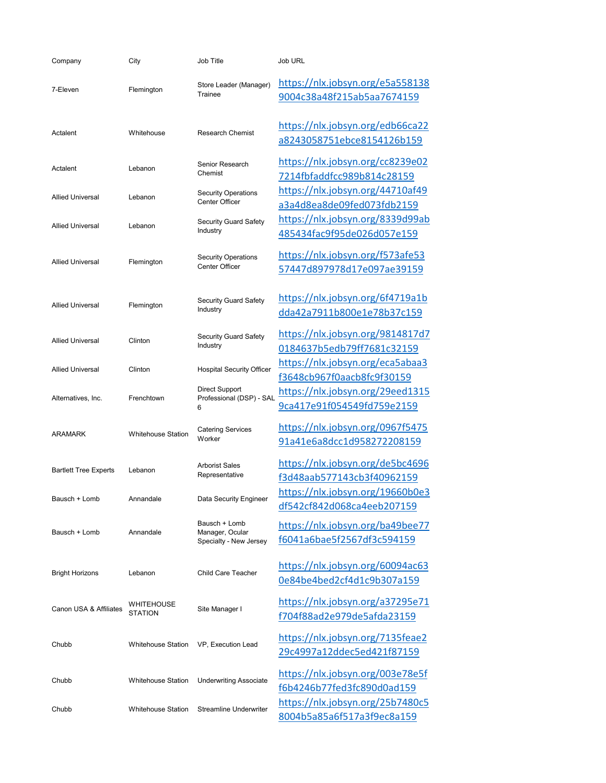| Company                      | City                         | Job Title                                                  | Job URL                                                        |
|------------------------------|------------------------------|------------------------------------------------------------|----------------------------------------------------------------|
| 7-Eleven                     | Flemington                   | Store Leader (Manager)<br>Trainee                          | https://nlx.jobsyn.org/e5a558138<br>9004c38a48f215ab5aa7674159 |
| Actalent                     | Whitehouse                   | <b>Research Chemist</b>                                    | https://nlx.jobsyn.org/edb66ca22<br>a8243058751ebce8154126b159 |
| Actalent                     | Lebanon                      | Senior Research<br>Chemist                                 | https://nlx.jobsyn.org/cc8239e02<br>7214fbfaddfcc989b814c28159 |
| <b>Allied Universal</b>      | Lebanon                      | <b>Security Operations</b><br>Center Officer               | https://nlx.jobsyn.org/44710af49<br>a3a4d8ea8de09fed073fdb2159 |
| <b>Allied Universal</b>      | Lebanon                      | <b>Security Guard Safety</b><br>Industry                   | https://nlx.jobsyn.org/8339d99ab<br>485434fac9f95de026d057e159 |
| <b>Allied Universal</b>      | Flemington                   | <b>Security Operations</b><br>Center Officer               | https://nlx.jobsyn.org/f573afe53<br>57447d897978d17e097ae39159 |
| <b>Allied Universal</b>      | Flemington                   | <b>Security Guard Safety</b><br>Industry                   | https://nlx.jobsyn.org/6f4719a1b<br>dda42a7911b800e1e78b37c159 |
| <b>Allied Universal</b>      | Clinton                      | <b>Security Guard Safety</b><br>Industry                   | https://nlx.jobsyn.org/9814817d7<br>0184637b5edb79ff7681c32159 |
| <b>Allied Universal</b>      | Clinton                      | <b>Hospital Security Officer</b>                           | https://nlx.jobsyn.org/eca5abaa3<br>f3648cb967f0aacb8fc9f30159 |
| Alternatives, Inc.           | Frenchtown                   | <b>Direct Support</b><br>Professional (DSP) - SAL<br>6     | https://nlx.jobsyn.org/29eed1315<br>9ca417e91f054549fd759e2159 |
| <b>ARAMARK</b>               | <b>Whitehouse Station</b>    | <b>Catering Services</b><br>Worker                         | https://nlx.jobsyn.org/0967f5475<br>91a41e6a8dcc1d958272208159 |
| <b>Bartlett Tree Experts</b> | Lebanon                      | <b>Arborist Sales</b><br>Representative                    | https://nlx.jobsyn.org/de5bc4696<br>f3d48aab577143cb3f40962159 |
| Bausch + Lomb                | Annandale                    | Data Security Engineer                                     | https://nlx.jobsyn.org/19660b0e3<br>df542cf842d068ca4eeb207159 |
| Bausch + Lomb                | Annandale                    | Bausch + Lomb<br>Manager, Ocular<br>Specialty - New Jersey | https://nlx.jobsyn.org/ba49bee77<br>f6041a6bae5f2567df3c594159 |
| Bright Horizons              | Lebanon                      | <b>Child Care Teacher</b>                                  | https://nlx.jobsyn.org/60094ac63<br>0e84be4bed2cf4d1c9b307a159 |
| Canon USA & Affiliates       | WHITEHOUSE<br><b>STATION</b> | Site Manager I                                             | https://nlx.jobsyn.org/a37295e71<br>f704f88ad2e979de5afda23159 |
| Chubb                        | <b>Whitehouse Station</b>    | VP, Execution Lead                                         | https://nlx.jobsyn.org/7135feae2<br>29c4997a12ddec5ed421f87159 |
| Chubb                        | <b>Whitehouse Station</b>    | <b>Underwriting Associate</b>                              | https://nlx.jobsyn.org/003e78e5f<br>f6b4246b77fed3fc890d0ad159 |
| Chubb                        | <b>Whitehouse Station</b>    | <b>Streamline Underwriter</b>                              | https://nlx.jobsyn.org/25b7480c5<br>8004b5a85a6f517a3f9ec8a159 |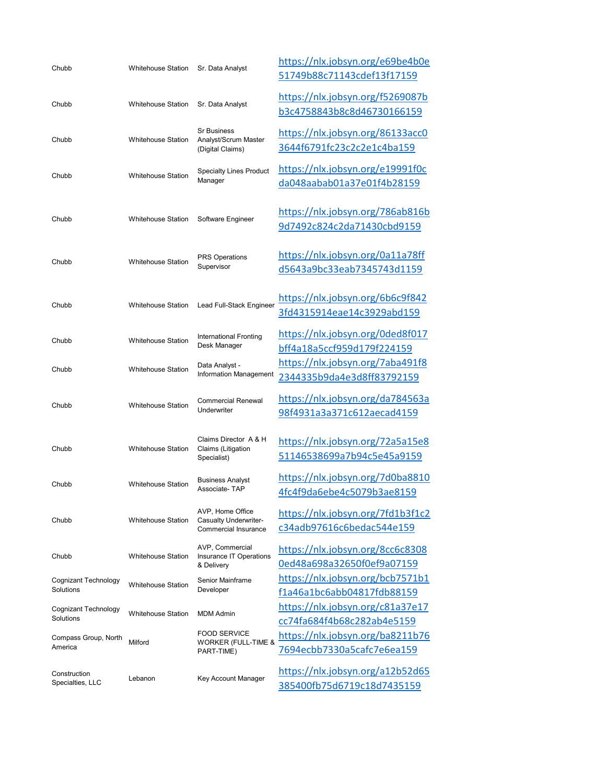| Chubb                             | <b>Whitehouse Station</b> | Sr. Data Analyst                                                  | https://nlx.jobsyn.org/e69be4b0e<br>51749b88c71143cdef13f17159 |
|-----------------------------------|---------------------------|-------------------------------------------------------------------|----------------------------------------------------------------|
| Chubb                             | <b>Whitehouse Station</b> | Sr. Data Analyst                                                  | https://nlx.jobsyn.org/f5269087b<br>b3c4758843b8c8d46730166159 |
| Chubb                             | <b>Whitehouse Station</b> | <b>Sr Business</b><br>Analyst/Scrum Master<br>(Digital Claims)    | https://nlx.jobsyn.org/86133acc0<br>3644f6791fc23c2c2e1c4ba159 |
| Chubb                             | <b>Whitehouse Station</b> | <b>Specialty Lines Product</b><br>Manager                         | https://nlx.jobsyn.org/e19991f0c<br>da048aabab01a37e01f4b28159 |
| Chubb                             | <b>Whitehouse Station</b> | Software Engineer                                                 | https://nlx.jobsyn.org/786ab816b<br>9d7492c824c2da71430cbd9159 |
| Chubb                             | <b>Whitehouse Station</b> | <b>PRS Operations</b><br>Supervisor                               | https://nlx.jobsyn.org/0a11a78ff<br>d5643a9bc33eab7345743d1159 |
| Chubb                             | <b>Whitehouse Station</b> | Lead Full-Stack Engineer                                          | https://nlx.jobsyn.org/6b6c9f842<br>3fd4315914eae14c3929abd159 |
| Chubb                             | <b>Whitehouse Station</b> | International Fronting<br>Desk Manager                            | https://nlx.jobsyn.org/0ded8f017<br>bff4a18a5ccf959d179f224159 |
| Chubb                             | <b>Whitehouse Station</b> | Data Analyst -<br>Information Management                          | https://nlx.jobsyn.org/7aba491f8<br>2344335b9da4e3d8ff83792159 |
| Chubb                             | <b>Whitehouse Station</b> | <b>Commercial Renewal</b><br>Underwriter                          | https://nlx.jobsyn.org/da784563a<br>98f4931a3a371c612aecad4159 |
| Chubb                             | <b>Whitehouse Station</b> | Claims Director A & H<br>Claims (Litigation<br>Specialist)        | https://nlx.jobsyn.org/72a5a15e8<br>51146538699a7b94c5e45a9159 |
| Chubb                             | <b>Whitehouse Station</b> | <b>Business Analyst</b><br>Associate-TAP                          | https://nlx.jobsyn.org/7d0ba8810<br>4fc4f9da6ebe4c5079b3ae8159 |
| Chubb                             | <b>Whitehouse Station</b> | AVP, Home Office<br>Casualty Underwriter-<br>Commercial Insurance | https://nlx.jobsyn.org/7fd1b3f1c2<br>c34adb97616c6bedac544e159 |
| Chubb                             | <b>Whitehouse Station</b> | AVP, Commercial<br>Insurance IT Operations<br>& Delivery          | https://nlx.jobsyn.org/8cc6c8308<br>0ed48a698a32650f0ef9a07159 |
| Cognizant Technology<br>Solutions | <b>Whitehouse Station</b> | Senior Mainframe<br>Developer                                     | https://nlx.jobsyn.org/bcb7571b1<br>f1a46a1bc6abb04817fdb88159 |
| Cognizant Technology<br>Solutions | <b>Whitehouse Station</b> | <b>MDM Admin</b>                                                  | https://nlx.jobsyn.org/c81a37e17<br>cc74fa684f4b68c282ab4e5159 |
| Compass Group, North<br>America   | Milford                   | <b>FOOD SERVICE</b><br>WORKER (FULL-TIME &<br>PART-TIME)          | https://nlx.jobsyn.org/ba8211b76<br>7694ecbb7330a5cafc7e6ea159 |
| Construction<br>Specialties, LLC  | Lebanon                   | Key Account Manager                                               | https://nlx.jobsyn.org/a12b52d65<br>385400fb75d6719c18d7435159 |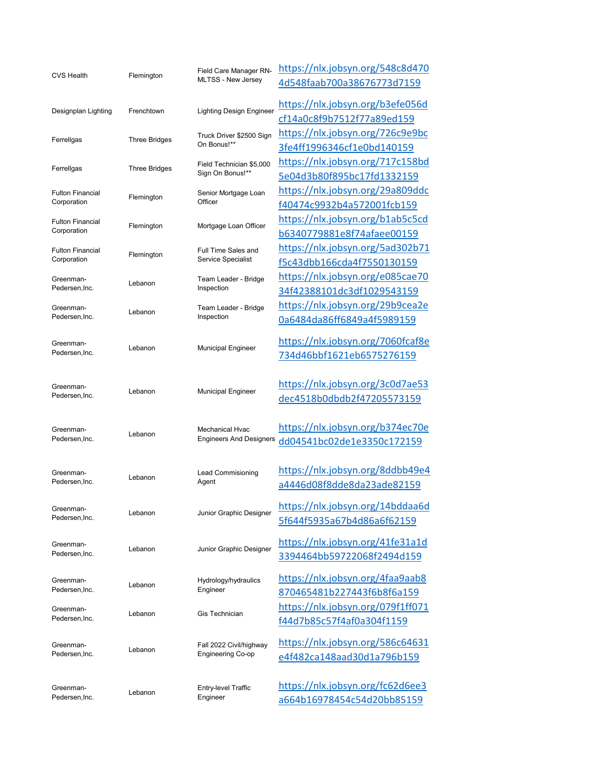| <b>CVS Health</b>           | Flemington           | Field Care Manager RN-                                   | https://nlx.jobsyn.org/548c8d470  |
|-----------------------------|----------------------|----------------------------------------------------------|-----------------------------------|
|                             |                      | MLTSS - New Jersey                                       | 4d548faab700a38676773d7159        |
| Designplan Lighting         | Frenchtown           | <b>Lighting Design Engineer</b>                          | https://nlx.jobsyn.org/b3efe056d  |
|                             |                      |                                                          | cf14a0c8f9b7512f77a89ed159        |
| Ferrellgas                  | <b>Three Bridges</b> | Truck Driver \$2500 Sign<br>On Bonus!**                  | https://nlx.jobsyn.org/726c9e9bc  |
|                             |                      |                                                          | 3fe4ff1996346cf1e0bd140159        |
| Ferrellgas                  | <b>Three Bridges</b> | Field Technician \$5,000<br>Sign On Bonus!**             | https://nlx.jobsyn.org/717c158bd  |
|                             |                      |                                                          | 5e04d3b80f895bc17fd1332159        |
| <b>Fulton Financial</b>     | Flemington           | Senior Mortgage Loan<br>Officer                          | https://nlx.jobsyn.org/29a809ddc  |
| Corporation                 |                      |                                                          | f40474c9932b4a572001fcb159        |
| <b>Fulton Financial</b>     |                      |                                                          | https://nlx.jobsyn.org/b1ab5c5cd  |
| Corporation                 | Flemington           | Mortgage Loan Officer                                    | b6340779881e8f74afaee00159        |
| <b>Fulton Financial</b>     |                      | Full Time Sales and                                      | https://nlx.jobsyn.org/5ad302b71  |
| Corporation                 | Flemington           | Service Specialist                                       | f5c43dbb166cda4f7550130159        |
| Greenman-                   |                      | Team Leader - Bridge                                     | https://nlx.jobsyn.org/e085cae70  |
| Pedersen.Inc.               | Lebanon              | Inspection                                               | 34f42388101dc3df1029543159        |
| Greenman-                   |                      | Team Leader - Bridge                                     | https://nlx.jobsyn.org/29b9cea2e  |
| Pedersen, Inc.              | Lebanon              | Inspection                                               | 0a6484da86ff6849a4f5989159        |
| Greenman-                   |                      |                                                          | https://nlx.jobsyn.org/7060fcaf8e |
| Pedersen, Inc.              | Lebanon              | <b>Municipal Engineer</b>                                | 734d46bbf1621eb6575276159         |
|                             |                      |                                                          |                                   |
| Greenman-<br>Pedersen, Inc. | Lebanon              | <b>Municipal Engineer</b>                                | https://nlx.jobsyn.org/3c0d7ae53  |
|                             |                      |                                                          | dec4518b0dbdb2f47205573159        |
|                             |                      |                                                          |                                   |
| Greenman-<br>Pedersen, Inc. |                      | <b>Mechanical Hyac</b><br><b>Engineers And Designers</b> | https://nlx.jobsyn.org/b374ec70e  |
|                             | Lebanon              |                                                          | dd04541bc02de1e3350c172159        |
|                             |                      |                                                          |                                   |
| Greenman-                   |                      | Lead Commisioning                                        | https://nlx.jobsyn.org/8ddbb49e4  |
| Pedersen, Inc.              | Lebanon              | Agent                                                    | a4446d08f8dde8da23ade82159        |
|                             |                      |                                                          |                                   |
| Greenman-<br>Pedersen, Inc. | Lebanon              | Junior Graphic Designer                                  | https://nlx.jobsyn.org/14bddaa6d  |
|                             |                      |                                                          | 5f644f5935a67b4d86a6f62159        |
| Greenman-                   | Lebanon              |                                                          | https://nlx.jobsyn.org/41fe31a1d  |
| Pedersen, Inc.              |                      | Junior Graphic Designer                                  | 3394464bb59722068f2494d159        |
|                             |                      |                                                          |                                   |
| Greenman-                   | Lebanon              | Hydrology/hydraulics<br>Engineer                         | https://nlx.jobsyn.org/4faa9aab8  |
| Pedersen, Inc.              |                      |                                                          | 870465481b227443f6b8f6a159        |
| Greenman-<br>Pedersen, Inc. | Lebanon              | Gis Technician                                           | https://nlx.jobsyn.org/079f1ff071 |
|                             |                      |                                                          | f44d7b85c57f4af0a304f1159         |
| Greenman-<br>Pedersen, Inc. | Lebanon              | Fall 2022 Civil/highway                                  | https://nlx.jobsyn.org/586c64631  |
|                             |                      | <b>Engineering Co-op</b>                                 | e4f482ca148aad30d1a796b159        |
|                             |                      |                                                          |                                   |
| Greenman-                   |                      | Entry-level Traffic<br>Engineer                          | https://nlx.jobsyn.org/fc62d6ee3  |
| Pedersen, Inc.              | Lebanon              |                                                          | a664b16978454c54d20bb85159        |
|                             |                      |                                                          |                                   |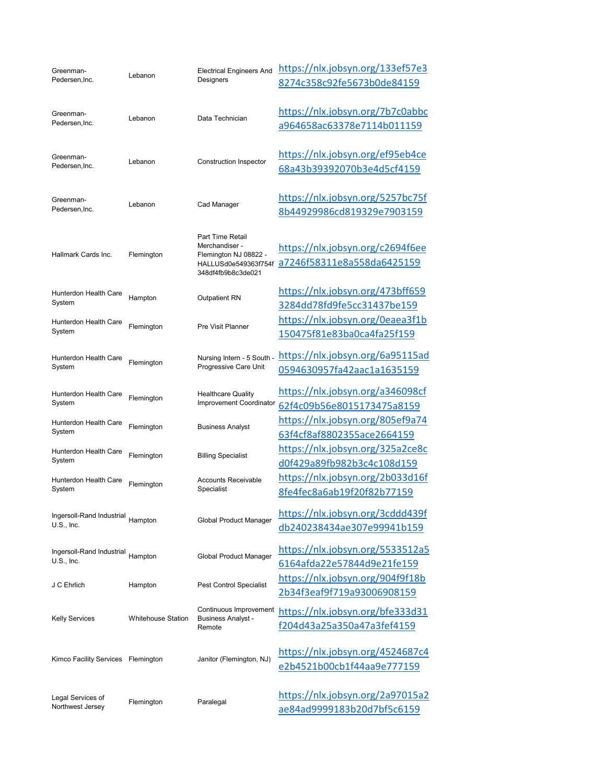| Greenman-<br>Pedersen, Inc.            | Lebanon                   | <b>Electrical Engineers And</b>                      | https://nlx.jobsyn.org/133ef57e3                               |
|----------------------------------------|---------------------------|------------------------------------------------------|----------------------------------------------------------------|
|                                        |                           | Designers                                            | 8274c358c92fe5673b0de84159                                     |
|                                        |                           |                                                      |                                                                |
| Greenman-<br>Pedersen, Inc.            | Lebanon                   | Data Technician                                      | https://nlx.jobsyn.org/7b7c0abbc                               |
|                                        |                           |                                                      | a964658ac63378e7114b011159                                     |
| Greenman-                              |                           |                                                      | https://nlx.jobsyn.org/ef95eb4ce                               |
| Pedersen, Inc.                         | Lebanon                   | <b>Construction Inspector</b>                        | 68a43b39392070b3e4d5cf4159                                     |
|                                        |                           |                                                      |                                                                |
| Greenman-                              |                           | Cad Manager                                          | https://nlx.jobsyn.org/5257bc75f                               |
| Pedersen, Inc.                         | Lebanon                   |                                                      | 8b44929986cd819329e7903159                                     |
|                                        |                           | Part Time Retail                                     |                                                                |
|                                        |                           | Merchandiser -                                       | https://nlx.jobsyn.org/c2694f6ee                               |
| Hallmark Cards Inc.                    | Flemington                | Flemington NJ 08822 -<br>HALLUSd0e549363f754f        | a7246f58311e8a558da6425159                                     |
|                                        |                           | 348df4fb9b8c3de021                                   |                                                                |
| Hunterdon Health Care                  |                           |                                                      | https://nlx.jobsyn.org/473bff659                               |
| System                                 | Hampton                   | <b>Outpatient RN</b>                                 | 3284dd78fd9fe5cc31437be159                                     |
| <b>Hunterdon Health Care</b>           | Flemington                | Pre Visit Planner                                    | https://nlx.jobsyn.org/0eaea3f1b                               |
| System                                 |                           |                                                      | 150475f81e83ba0ca4fa25f159                                     |
| Hunterdon Health Care                  |                           | Nursing Intern - 5 South -                           | https://nlx.jobsyn.org/6a95115ad                               |
| System                                 | Flemington                | Progressive Care Unit                                | 0594630957fa42aac1a1635159                                     |
|                                        |                           |                                                      |                                                                |
| Hunterdon Health Care<br>System        | Flemington                | <b>Healthcare Quality</b><br>Improvement Coordinator | https://nlx.jobsyn.org/a346098cf                               |
|                                        | Flemington                | <b>Business Analyst</b>                              | 62f4c09b56e8015173475a8159                                     |
| Hunterdon Health Care<br>System        |                           |                                                      | https://nlx.jobsyn.org/805ef9a74<br>63f4cf8af8802355ace2664159 |
|                                        | Flemington                | <b>Billing Specialist</b>                            | https://nlx.jobsyn.org/325a2ce8c                               |
| <b>Hunterdon Health Care</b><br>System |                           |                                                      | d0f429a89fb982b3c4c108d159                                     |
|                                        | Flemington                | <b>Accounts Receivable</b><br>Specialist             |                                                                |
| Hunterdon Health Care<br>System        |                           |                                                      | https://nlx.jobsyn.org/2b033d16f<br>8fe4fec8a6ab19f20f82b77159 |
|                                        |                           |                                                      |                                                                |
| Ingersoll-Rand Industrial Hampton      |                           | Global Product Manager                               | https://nlx.jobsyn.org/3cddd439f                               |
| $U.S.,$ Inc.                           |                           |                                                      | db240238434ae307e99941b159                                     |
| Ingersoll-Rand Industrial Hampton      |                           | Global Product Manager                               | https://nlx.jobsyn.org/5533512a5                               |
| $U.S.,$ Inc.                           |                           |                                                      | 6164afda22e57844d9e21fe159                                     |
|                                        |                           |                                                      | https://nlx.jobsyn.org/904f9f18b                               |
| J C Ehrlich                            | Hampton                   | Pest Control Specialist                              | 2b34f3eaf9f719a93006908159                                     |
| Kelly Services                         | <b>Whitehouse Station</b> | Continuous Improvement                               | https://nlx.jobsyn.org/bfe333d31                               |
|                                        |                           | <b>Business Analyst -</b><br>Remote                  | f204d43a25a350a47a3fef4159                                     |
|                                        |                           |                                                      |                                                                |
| Kimco Facility Services Flemington     |                           |                                                      | https://nlx.jobsyn.org/4524687c4                               |
|                                        |                           | Janitor (Flemington, NJ)                             | e2b4521b00cb1f44aa9e777159                                     |
|                                        |                           |                                                      |                                                                |
| Legal Services of<br>Northwest Jersey  | Flemington                | Paralegal                                            | https://nlx.jobsyn.org/2a97015a2                               |
|                                        |                           |                                                      | ae84ad9999183b20d7bf5c6159                                     |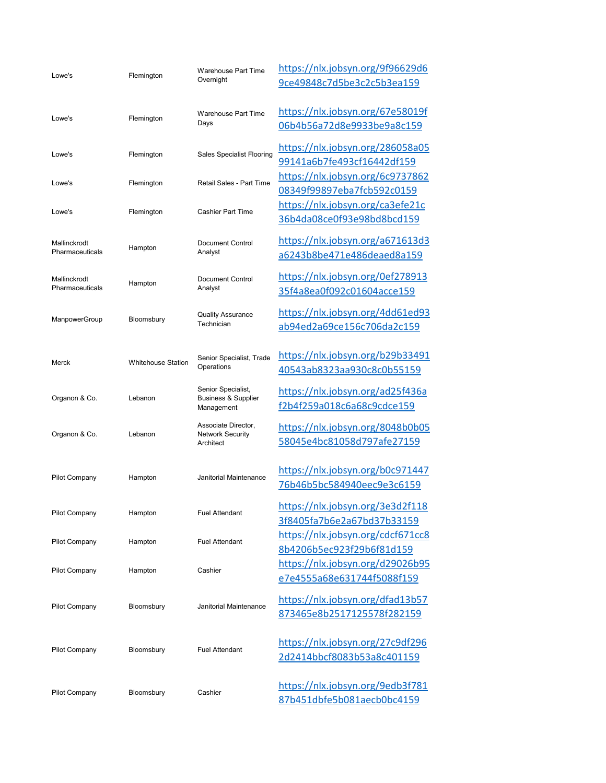| Lowe's                          | Flemington                | Warehouse Part Time<br>Overnight                                   | https://nlx.jobsyn.org/9f96629d6<br>9ce49848c7d5be3c2c5b3ea159 |
|---------------------------------|---------------------------|--------------------------------------------------------------------|----------------------------------------------------------------|
| Lowe's                          | Flemington                | Warehouse Part Time<br>Days                                        | https://nlx.jobsyn.org/67e58019f<br>06b4b56a72d8e9933be9a8c159 |
| Lowe's                          | Flemington                | <b>Sales Specialist Flooring</b>                                   | https://nlx.jobsyn.org/286058a05<br>99141a6b7fe493cf16442df159 |
| Lowe's                          | Flemington                | Retail Sales - Part Time                                           | https://nlx.jobsyn.org/6c9737862<br>08349f99897eba7fcb592c0159 |
| Lowe's                          | Flemington                | <b>Cashier Part Time</b>                                           | https://nlx.jobsyn.org/ca3efe21c<br>36b4da08ce0f93e98bd8bcd159 |
| Mallinckrodt<br>Pharmaceuticals | Hampton                   | Document Control<br>Analyst                                        | https://nlx.jobsyn.org/a671613d3<br>a6243b8be471e486deaed8a159 |
| Mallinckrodt<br>Pharmaceuticals | Hampton                   | <b>Document Control</b><br>Analyst                                 | https://nlx.jobsyn.org/0ef278913<br>35f4a8ea0f092c01604acce159 |
| ManpowerGroup                   | Bloomsbury                | <b>Quality Assurance</b><br>Technician                             | https://nlx.jobsyn.org/4dd61ed93<br>ab94ed2a69ce156c706da2c159 |
| Merck                           | <b>Whitehouse Station</b> | Senior Specialist, Trade<br>Operations                             | https://nlx.jobsyn.org/b29b33491<br>40543ab8323aa930c8c0b55159 |
| Organon & Co.                   | Lebanon                   | Senior Specialist,<br><b>Business &amp; Supplier</b><br>Management | https://nlx.jobsyn.org/ad25f436a<br>f2b4f259a018c6a68c9cdce159 |
| Organon & Co.                   | Lebanon                   | Associate Director,<br><b>Network Security</b><br>Architect        | https://nlx.jobsyn.org/8048b0b05<br>58045e4bc81058d797afe27159 |
| Pilot Company                   | Hampton                   | Janitorial Maintenance                                             | https://nlx.jobsyn.org/b0c971447<br>76b46b5bc584940eec9e3c6159 |
| Pilot Company                   | Hampton                   | <b>Fuel Attendant</b>                                              | https://nlx.jobsyn.org/3e3d2f118<br>3f8405fa7b6e2a67bd37b33159 |
| Pilot Company                   | Hampton                   | <b>Fuel Attendant</b>                                              | https://nlx.jobsyn.org/cdcf671cc8<br>8b4206b5ec923f29b6f81d159 |
| <b>Pilot Company</b>            | Hampton                   | Cashier                                                            | https://nlx.jobsyn.org/d29026b95<br>e7e4555a68e631744f5088f159 |
| <b>Pilot Company</b>            | Bloomsbury                | Janitorial Maintenance                                             | https://nlx.jobsyn.org/dfad13b57<br>873465e8b2517125578f282159 |
| Pilot Company                   | Bloomsbury                | <b>Fuel Attendant</b>                                              | https://nlx.jobsyn.org/27c9df296<br>2d2414bbcf8083b53a8c401159 |
| Pilot Company                   | Bloomsbury                | Cashier                                                            | https://nlx.jobsyn.org/9edb3f781<br>87b451dbfe5b081aecb0bc4159 |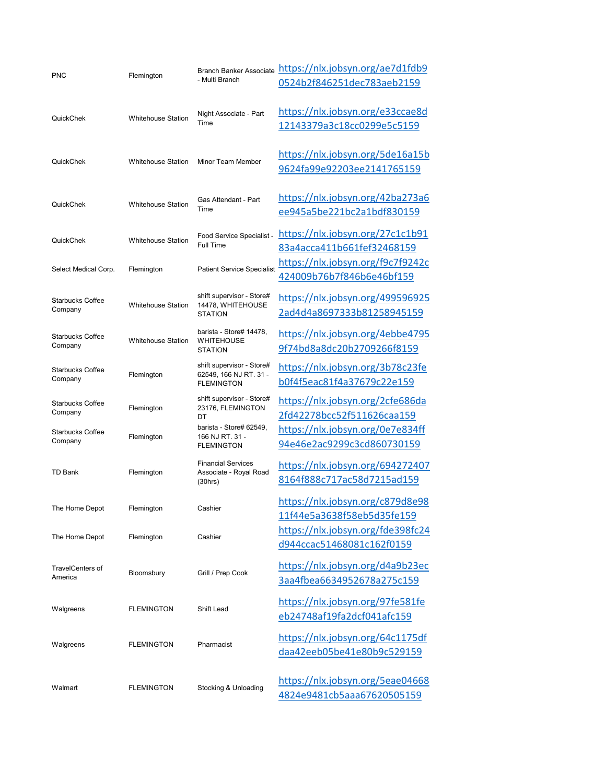| <b>PNC</b>                         | Flemington                |                                                                          | Branch Banker Associate https://nlx.jobsyn.org/ae7d1fdb9 |
|------------------------------------|---------------------------|--------------------------------------------------------------------------|----------------------------------------------------------|
|                                    |                           | - Multi Branch                                                           | 0524b2f846251dec783aeb2159                               |
|                                    |                           |                                                                          |                                                          |
|                                    |                           | Night Associate - Part                                                   | https://nlx.jobsyn.org/e33ccae8d                         |
| QuickChek                          | <b>Whitehouse Station</b> | Time                                                                     | 12143379a3c18cc0299e5c5159                               |
|                                    |                           |                                                                          |                                                          |
|                                    |                           |                                                                          | https://nlx.jobsyn.org/5de16a15b                         |
| QuickChek                          | <b>Whitehouse Station</b> | Minor Team Member                                                        | 9624fa99e92203ee2141765159                               |
|                                    |                           |                                                                          |                                                          |
|                                    |                           | Gas Attendant - Part<br>Time                                             | https://nlx.jobsyn.org/42ba273a6                         |
| QuickChek                          | <b>Whitehouse Station</b> |                                                                          | ee945a5be221bc2a1bdf830159                               |
|                                    |                           |                                                                          |                                                          |
| QuickChek                          | <b>Whitehouse Station</b> | Food Service Specialist -                                                | https://nlx.jobsyn.org/27c1c1b91                         |
|                                    |                           | <b>Full Time</b>                                                         | 83a4acca411b661fef32468159                               |
| Select Medical Corp.               |                           | <b>Patient Service Specialist</b>                                        | https://nlx.jobsyn.org/f9c7f9242c                        |
|                                    | Flemington                |                                                                          | 424009b76b7f846b6e46bf159                                |
|                                    |                           | shift supervisor - Store#                                                | https://nlx.jobsyn.org/499596925                         |
| <b>Starbucks Coffee</b><br>Company | <b>Whitehouse Station</b> | 14478, WHITEHOUSE                                                        | 2ad4d4a8697333b81258945159                               |
|                                    |                           | <b>STATION</b>                                                           |                                                          |
| <b>Starbucks Coffee</b>            |                           | barista - Store# 14478,                                                  | https://nlx.jobsyn.org/4ebbe4795                         |
| Company                            | <b>Whitehouse Station</b> | <b>WHITEHOUSE</b><br><b>STATION</b>                                      | 9f74bd8a8dc20b2709266f8159                               |
| <b>Starbucks Coffee</b>            | Flemington                | shift supervisor - Store#<br>62549, 166 NJ RT. 31 -<br><b>FLEMINGTON</b> | https://nlx.jobsyn.org/3b78c23fe                         |
| Company                            |                           |                                                                          | b0f4f5eac81f4a37679c22e159                               |
|                                    |                           |                                                                          |                                                          |
| <b>Starbucks Coffee</b>            | Flemington                | shift supervisor - Store#<br>23176, FLEMINGTON                           | https://nlx.jobsyn.org/2cfe686da                         |
| Company                            |                           | DT                                                                       | 2fd42278bcc52f511626caa159                               |
| <b>Starbucks Coffee</b>            | Flemington                | barista - Store# 62549,<br>166 NJ RT. 31 -<br><b>FLEMINGTON</b>          | https://nlx.jobsyn.org/0e7e834ff                         |
| Company                            |                           |                                                                          | 94e46e2ac9299c3cd860730159                               |
|                                    |                           | <b>Financial Services</b><br>Associate - Royal Road<br>(30hrs)           | https://nlx.jobsyn.org/694272407                         |
| TD Bank                            | Flemington                |                                                                          | 8164f888c717ac58d7215ad159                               |
|                                    |                           |                                                                          |                                                          |
| The Home Depot                     | Flemington                | Cashier                                                                  | https://nlx.jobsyn.org/c879d8e98                         |
|                                    |                           |                                                                          | 11f44e5a3638f58eb5d35fe159                               |
| The Home Depot                     | Flemington                | Cashier                                                                  | https://nlx.jobsyn.org/fde398fc24                        |
|                                    |                           |                                                                          | d944ccac51468081c162f0159                                |
| TravelCenters of                   | Bloomsbury                |                                                                          | https://nlx.jobsyn.org/d4a9b23ec                         |
| America                            |                           | Grill / Prep Cook                                                        | 3aa4fbea6634952678a275c159                               |
|                                    |                           |                                                                          |                                                          |
| Walgreens                          | <b>FLEMINGTON</b>         | Shift Lead                                                               | https://nlx.jobsyn.org/97fe581fe                         |
|                                    |                           |                                                                          | eb24748af19fa2dcf041afc159                               |
| Walgreens                          |                           |                                                                          | https://nlx.jobsyn.org/64c1175df                         |
|                                    | <b>FLEMINGTON</b>         | Pharmacist                                                               | daa42eeb05be41e80b9c529159                               |
|                                    |                           |                                                                          |                                                          |
|                                    |                           |                                                                          | https://nlx.jobsyn.org/5eae04668                         |
| Walmart                            | <b>FLEMINGTON</b>         | <b>Stocking &amp; Unloading</b>                                          |                                                          |
|                                    |                           |                                                                          | 4824e9481cb5aaa67620505159                               |